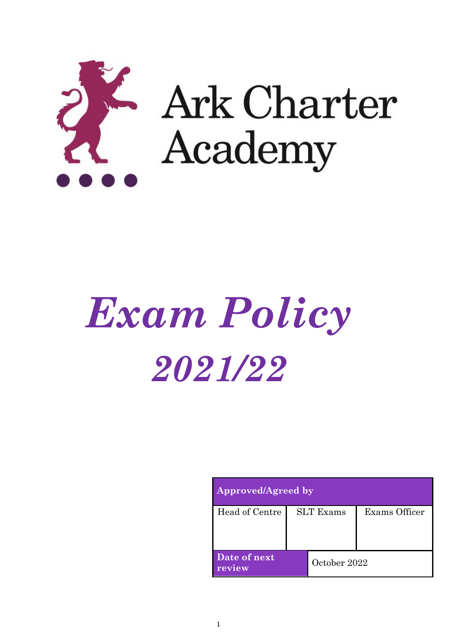

# *Exam Policy 2021/22*

| Approved/Agreed by     |                  |              |               |
|------------------------|------------------|--------------|---------------|
| Head of Centre         | <b>SLT</b> Exams |              | Exams Officer |
| Date of next<br>review |                  | October 2022 |               |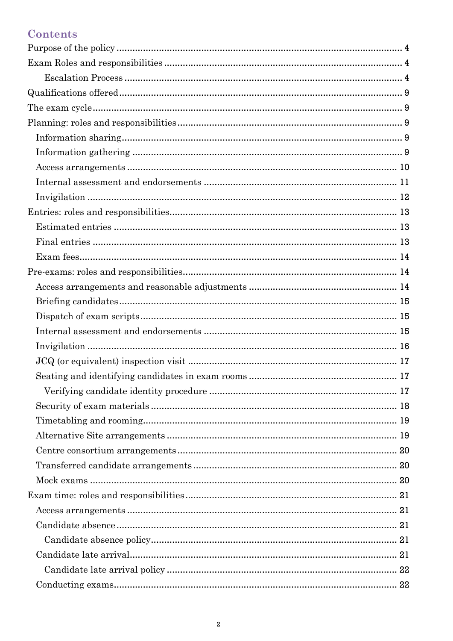# Contents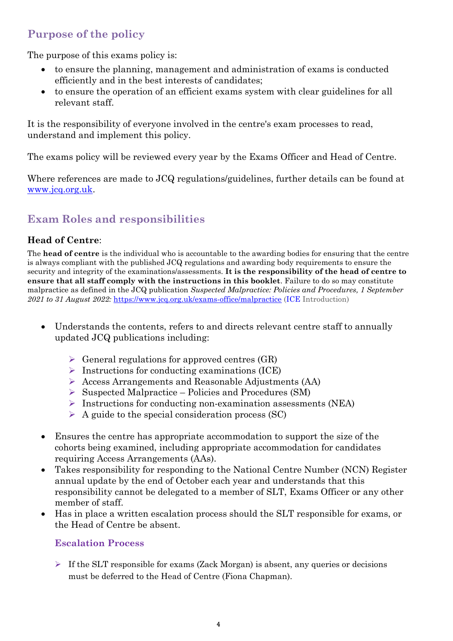# <span id="page-3-0"></span>**Purpose of the policy**

The purpose of this exams policy is:

- to ensure the planning, management and administration of exams is conducted efficiently and in the best interests of candidates;
- to ensure the operation of an efficient exams system with clear guidelines for all relevant staff.

It is the responsibility of everyone involved in the centre's exam processes to read, understand and implement this policy.

The exams policy will be reviewed every year by the Exams Officer and Head of Centre.

Where references are made to JCQ regulations/guidelines, further details can be found at [www.jcq.org.uk.](http://www.jcq.org.uk/)

# <span id="page-3-1"></span>**Exam Roles and responsibilities**

## **Head of Centre**:

The **head of centre** is the individual who is accountable to the awarding bodies for ensuring that the centre is always compliant with the published JCQ regulations and awarding body requirements to ensure the security and integrity of the examinations/assessments. **It is the responsibility of the head of centre to ensure that all staff comply with the instructions in this booklet**. Failure to do so may constitute malpractice as defined in the JCQ publication *Suspected Malpractice: Policies and Procedures, 1 September 2021 to 31 August 2022:* <https://www.jcq.org.uk/exams-office/malpractice> [\(ICE](http://www.jcq.org.uk/exams-office/ice---instructions-for-conducting-examinations) Introduction)

- Understands the contents, refers to and directs relevant centre staff to annually updated JCQ publications including:
	- $\triangleright$  General regulations for approved centres (GR)
	- $\triangleright$  Instructions for conducting examinations (ICE)
	- ➢ Access Arrangements and Reasonable Adjustments (AA)
	- ➢ Suspected Malpractice Policies and Procedures (SM)
	- $\triangleright$  Instructions for conducting non-examination assessments (NEA)
	- $\triangleright$  A guide to the special consideration process (SC)
- Ensures the centre has appropriate accommodation to support the size of the cohorts being examined, including appropriate accommodation for candidates requiring Access Arrangements (AAs).
- Takes responsibility for responding to the National Centre Number (NCN) Register annual update by the end of October each year and understands that this responsibility cannot be delegated to a member of SLT, Exams Officer or any other member of staff.
- <span id="page-3-2"></span>• Has in place a written escalation process should the SLT responsible for exams, or the Head of Centre be absent.

## **Escalation Process**

 $\triangleright$  If the SLT responsible for exams (Zack Morgan) is absent, any queries or decisions must be deferred to the Head of Centre (Fiona Chapman).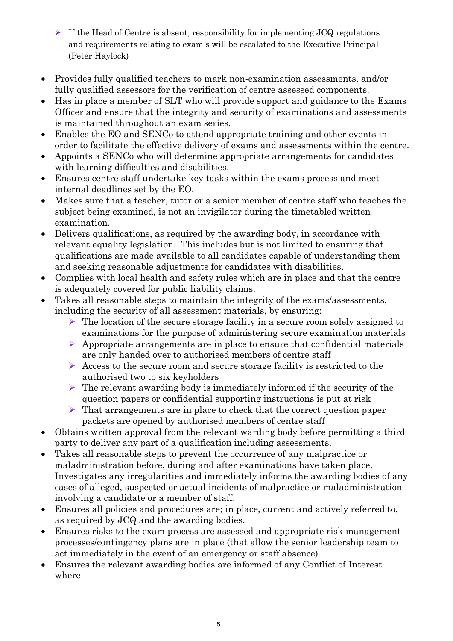- $\triangleright$  If the Head of Centre is absent, responsibility for implementing JCQ regulations and requirements relating to exam s will be escalated to the Executive Principal (Peter Haylock)
- Provides fully qualified teachers to mark non-examination assessments, and/or fully qualified assessors for the verification of centre assessed components.
- Has in place a member of SLT who will provide support and guidance to the Exams Officer and ensure that the integrity and security of examinations and assessments is maintained throughout an exam series.
- Enables the EO and SENCo to attend appropriate training and other events in order to facilitate the effective delivery of exams and assessments within the centre.
- Appoints a SENCo who will determine appropriate arrangements for candidates with learning difficulties and disabilities.
- Ensures centre staff undertake key tasks within the exams process and meet internal deadlines set by the EO.
- Makes sure that a teacher, tutor or a senior member of centre staff who teaches the subject being examined, is not an invigilator during the timetabled written examination.
- Delivers qualifications, as required by the awarding body, in accordance with relevant equality legislation. This includes but is not limited to ensuring that qualifications are made available to all candidates capable of understanding them and seeking reasonable adjustments for candidates with disabilities.
- Complies with local health and safety rules which are in place and that the centre is adequately covered for public liability claims.
- Takes all reasonable steps to maintain the integrity of the exams/assessments, including the security of all assessment materials, by ensuring:
	- $\triangleright$  The location of the secure storage facility in a secure room solely assigned to examinations for the purpose of administering secure examination materials
	- $\triangleright$  Appropriate arrangements are in place to ensure that confidential materials are only handed over to authorised members of centre staff
	- $\triangleright$  Access to the secure room and secure storage facility is restricted to the authorised two to six keyholders
	- $\triangleright$  The relevant awarding body is immediately informed if the security of the question papers or confidential supporting instructions is put at risk
	- ➢ That arrangements are in place to check that the correct question paper packets are opened by authorised members of centre staff
- Obtains written approval from the relevant warding body before permitting a third party to deliver any part of a qualification including assessments.
- Takes all reasonable steps to prevent the occurrence of any malpractice or maladministration before, during and after examinations have taken place. Investigates any irregularities and immediately informs the awarding bodies of any cases of alleged, suspected or actual incidents of malpractice or maladministration involving a candidate or a member of staff.
- Ensures all policies and procedures are; in place, current and actively referred to, as required by JCQ and the awarding bodies.
- Ensures risks to the exam process are assessed and appropriate risk management processes/contingency plans are in place (that allow the senior leadership team to act immediately in the event of an emergency or staff absence).
- Ensures the relevant awarding bodies are informed of any Conflict of Interest where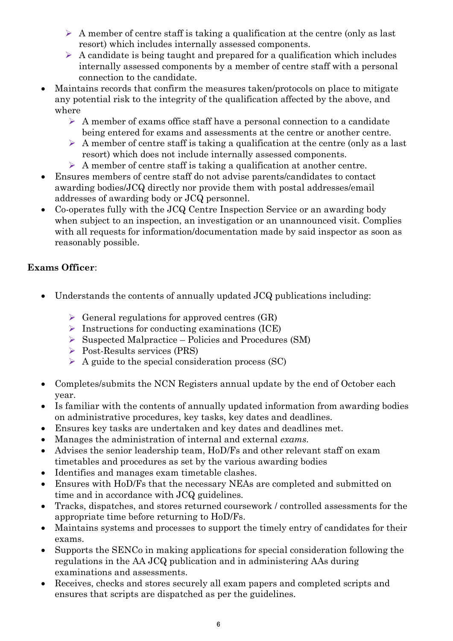- $\triangleright$  A member of centre staff is taking a qualification at the centre (only as last resort) which includes internally assessed components.
- $\triangleright$  A candidate is being taught and prepared for a qualification which includes internally assessed components by a member of centre staff with a personal connection to the candidate.
- Maintains records that confirm the measures taken/protocols on place to mitigate any potential risk to the integrity of the qualification affected by the above, and where
	- ➢ A member of exams office staff have a personal connection to a candidate being entered for exams and assessments at the centre or another centre.
	- $\triangleright$  A member of centre staff is taking a qualification at the centre (only as a last resort) which does not include internally assessed components.
	- $\triangleright$  A member of centre staff is taking a qualification at another centre.
- Ensures members of centre staff do not advise parents/candidates to contact awarding bodies/JCQ directly nor provide them with postal addresses/email addresses of awarding body or JCQ personnel.
- Co-operates fully with the JCQ Centre Inspection Service or an awarding body when subject to an inspection, an investigation or an unannounced visit. Complies with all requests for information/documentation made by said inspector as soon as reasonably possible.

- Understands the contents of annually updated JCQ publications including:
	- $\triangleright$  General regulations for approved centres (GR)
	- ➢ Instructions for conducting examinations (ICE)
	- ➢ Suspected Malpractice Policies and Procedures (SM)
	- ➢ Post-Results services (PRS)
	- $\triangleright$  A guide to the special consideration process (SC)
- Completes/submits the NCN Registers annual update by the end of October each year.
- Is familiar with the contents of annually updated information from awarding bodies on administrative procedures, key tasks, key dates and deadlines.
- Ensures key tasks are undertaken and key dates and deadlines met.
- Manages the administration of internal and external *exams.*
- Advises the senior leadership team, HoD/Fs and other relevant staff on exam timetables and procedures as set by the various awarding bodies
- Identifies and manages exam timetable clashes.
- Ensures with HoD/Fs that the necessary NEAs are completed and submitted on time and in accordance with JCQ guidelines.
- Tracks, dispatches, and stores returned coursework / controlled assessments for the appropriate time before returning to HoD/Fs.
- Maintains systems and processes to support the timely entry of candidates for their exams.
- Supports the SENCo in making applications for special consideration following the regulations in the AA JCQ publication and in administering AAs during examinations and assessments.
- Receives, checks and stores securely all exam papers and completed scripts and ensures that scripts are dispatched as per the guidelines.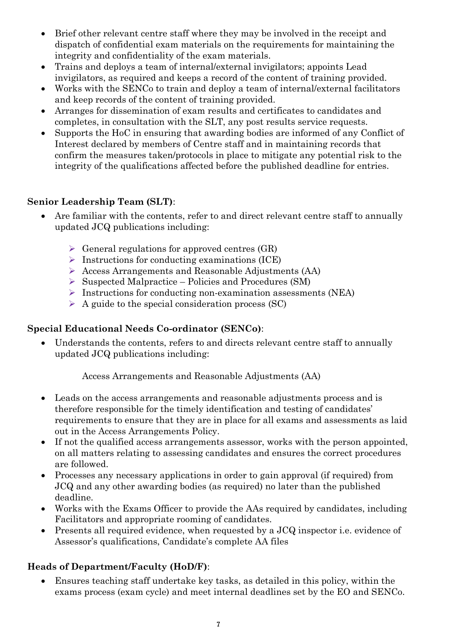- Brief other relevant centre staff where they may be involved in the receipt and dispatch of confidential exam materials on the requirements for maintaining the integrity and confidentiality of the exam materials.
- Trains and deploys a team of internal/external invigilators; appoints Lead invigilators, as required and keeps a record of the content of training provided.
- Works with the SENCo to train and deploy a team of internal/external facilitators and keep records of the content of training provided.
- Arranges for dissemination of exam results and certificates to candidates and completes, in consultation with the SLT, any post results service requests.
- Supports the HoC in ensuring that awarding bodies are informed of any Conflict of Interest declared by members of Centre staff and in maintaining records that confirm the measures taken/protocols in place to mitigate any potential risk to the integrity of the qualifications affected before the published deadline for entries.

## **Senior Leadership Team (SLT)**:

- Are familiar with the contents, refer to and direct relevant centre staff to annually updated JCQ publications including:
	- $\triangleright$  General regulations for approved centres (GR)
	- $\triangleright$  Instructions for conducting examinations (ICE)
	- ➢ Access Arrangements and Reasonable Adjustments (AA)
	- ➢ Suspected Malpractice Policies and Procedures (SM)
	- ➢ Instructions for conducting non-examination assessments (NEA)
	- $\triangleright$  A guide to the special consideration process (SC)

## **Special Educational Needs Co-ordinator (SENCo)**:

• Understands the contents, refers to and directs relevant centre staff to annually updated JCQ publications including:

Access Arrangements and Reasonable Adjustments (AA)

- Leads on the access arrangements and reasonable adjustments process and is therefore responsible for the timely identification and testing of candidates' requirements to ensure that they are in place for all exams and assessments as laid out in the Access Arrangements Policy.
- If not the qualified access arrangements assessor, works with the person appointed, on all matters relating to assessing candidates and ensures the correct procedures are followed.
- Processes any necessary applications in order to gain approval (if required) from JCQ and any other awarding bodies (as required) no later than the published deadline.
- Works with the Exams Officer to provide the AAs required by candidates, including Facilitators and appropriate rooming of candidates.
- Presents all required evidence, when requested by a JCQ inspector i.e. evidence of Assessor's qualifications, Candidate's complete AA files

## **Heads of Department/Faculty (HoD/F)**:

• Ensures teaching staff undertake key tasks, as detailed in this policy, within the exams process (exam cycle) and meet internal deadlines set by the EO and SENCo.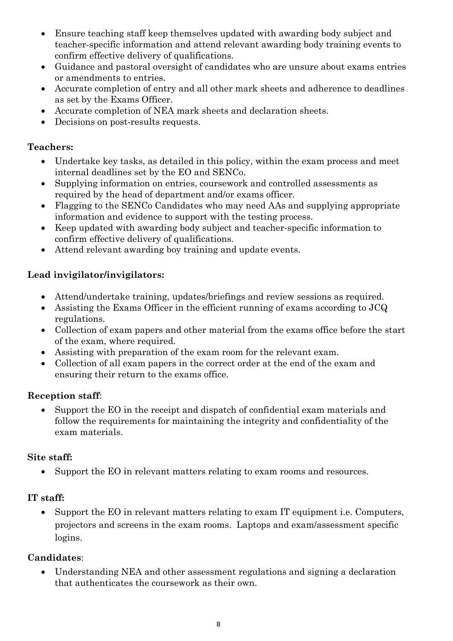- Ensure teaching staff keep themselves updated with awarding body subject and teacher-specific information and attend relevant awarding body training events to confirm effective delivery of qualifications.
- Guidance and pastoral oversight of candidates who are unsure about exams entries or amendments to entries.
- Accurate completion of entry and all other mark sheets and adherence to deadlines as set by the Exams Officer.
- Accurate completion of NEA mark sheets and declaration sheets.
- Decisions on post-results requests.

#### **Teachers:**

- Undertake key tasks, as detailed in this policy, within the exam process and meet internal deadlines set by the EO and SENCo.
- Supplying information on entries, coursework and controlled assessments as required by the head of department and/or exams officer.
- Flagging to the SENCo Candidates who may need AAs and supplying appropriate information and evidence to support with the testing process.
- Keep updated with awarding body subject and teacher-specific information to confirm effective delivery of qualifications.
- Attend relevant awarding boy training and update events.

#### **Lead invigilator/invigilators:**

- Attend/undertake training, updates/briefings and review sessions as required.
- Assisting the Exams Officer in the efficient running of exams according to JCQ regulations.
- Collection of exam papers and other material from the exams office before the start of the exam, where required.
- Assisting with preparation of the exam room for the relevant exam.
- Collection of all exam papers in the correct order at the end of the exam and ensuring their return to the exams office.

#### **Reception staff**:

• Support the EO in the receipt and dispatch of confidential exam materials and follow the requirements for maintaining the integrity and confidentiality of the exam materials.

#### **Site staff:**

• Support the EO in relevant matters relating to exam rooms and resources.

## **IT staff:**

• Support the EO in relevant matters relating to exam IT equipment i.e. Computers, projectors and screens in the exam rooms. Laptops and exam/assessment specific logins.

## **Candidates**:

• Understanding NEA and other assessment regulations and signing a declaration that authenticates the coursework as their own.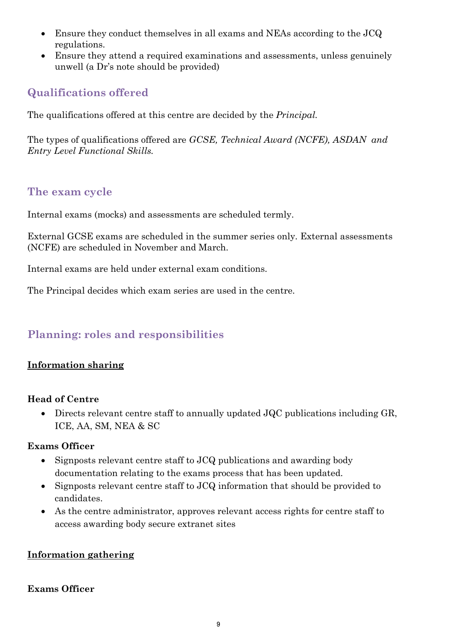- Ensure they conduct themselves in all exams and NEAs according to the JCQ regulations.
- Ensure they attend a required examinations and assessments, unless genuinely unwell (a Dr's note should be provided)

# <span id="page-8-0"></span>**Qualifications offered**

The qualifications offered at this centre are decided by the *Principal.*

The types of qualifications offered are *GCSE, Technical Award (NCFE), ASDAN and Entry Level Functional Skills.*

## <span id="page-8-1"></span>**The exam cycle**

Internal exams (mocks) and assessments are scheduled termly.

External GCSE exams are scheduled in the summer series only*.* External assessments (NCFE) are scheduled in November and March.

Internal exams are held under external exam conditions.

The Principal decides which exam series are used in the centre.

# <span id="page-8-2"></span>**Planning: roles and responsibilities**

## <span id="page-8-3"></span>**Information sharing**

#### **Head of Centre**

• Directs relevant centre staff to annually updated JQC publications including GR, ICE, AA, SM, NEA & SC

## **Exams Officer**

- Signposts relevant centre staff to JCQ publications and awarding body documentation relating to the exams process that has been updated.
- Signposts relevant centre staff to JCQ information that should be provided to candidates.
- As the centre administrator, approves relevant access rights for centre staff to access awarding body secure extranet sites

#### <span id="page-8-4"></span>**Information gathering**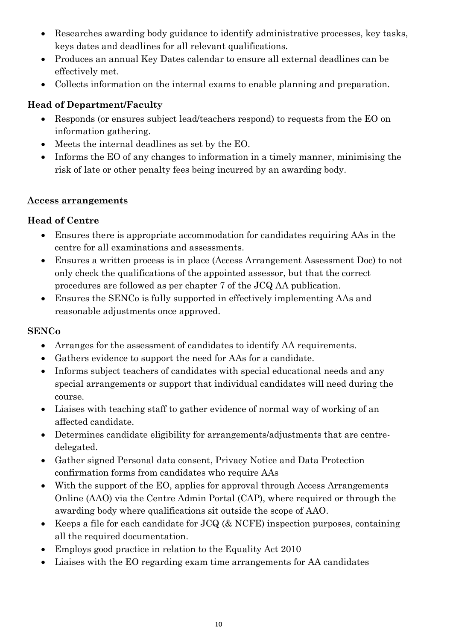- Researches awarding body guidance to identify administrative processes, key tasks, keys dates and deadlines for all relevant qualifications.
- Produces an annual Key Dates calendar to ensure all external deadlines can be effectively met.
- Collects information on the internal exams to enable planning and preparation.

## **Head of Department/Faculty**

- Responds (or ensures subject lead/teachers respond) to requests from the EO on information gathering.
- Meets the internal deadlines as set by the EO.
- Informs the EO of any changes to information in a timely manner, minimising the risk of late or other penalty fees being incurred by an awarding body.

#### <span id="page-9-0"></span>**Access arrangements**

## **Head of Centre**

- Ensures there is appropriate accommodation for candidates requiring AAs in the centre for all examinations and assessments.
- Ensures a written process is in place (Access Arrangement Assessment Doc) to not only check the qualifications of the appointed assessor, but that the correct procedures are followed as per chapter 7 of the JCQ AA publication.
- Ensures the SENCo is fully supported in effectively implementing AAs and reasonable adjustments once approved.

## **SENCo**

- Arranges for the assessment of candidates to identify AA requirements.
- Gathers evidence to support the need for AAs for a candidate.
- Informs subject teachers of candidates with special educational needs and any special arrangements or support that individual candidates will need during the course.
- Liaises with teaching staff to gather evidence of normal way of working of an affected candidate.
- Determines candidate eligibility for arrangements/adjustments that are centredelegated.
- Gather signed Personal data consent, Privacy Notice and Data Protection confirmation forms from candidates who require AAs
- With the support of the EO, applies for approval through Access Arrangements Online (AAO) via the Centre Admin Portal (CAP), where required or through the awarding body where qualifications sit outside the scope of AAO.
- Keeps a file for each candidate for JCQ (& NCFE) inspection purposes, containing all the required documentation.
- Employs good practice in relation to the Equality Act 2010
- Liaises with the EO regarding exam time arrangements for AA candidates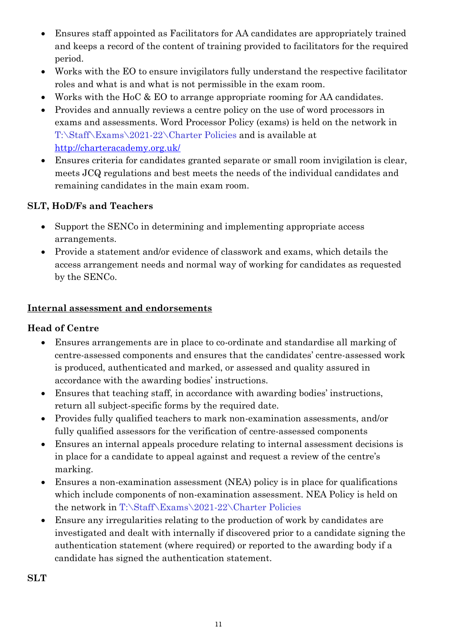- Ensures staff appointed as Facilitators for AA candidates are appropriately trained and keeps a record of the content of training provided to facilitators for the required period.
- Works with the EO to ensure invigilators fully understand the respective facilitator roles and what is and what is not permissible in the exam room.
- Works with the HoC & EO to arrange appropriate rooming for AA candidates.
- Provides and annually reviews a centre policy on the use of word processors in exams and assessments. Word Processor Policy (exams) is held on the network in T:\Staff\Exams\2021-22\Charter Policies and is available at <http://charteracademy.org.uk/>
- Ensures criteria for candidates granted separate or small room invigilation is clear, meets JCQ regulations and best meets the needs of the individual candidates and remaining candidates in the main exam room.

## **SLT, HoD/Fs and Teachers**

- Support the SENCo in determining and implementing appropriate access arrangements.
- Provide a statement and/or evidence of classwork and exams, which details the access arrangement needs and normal way of working for candidates as requested by the SENCo.

## <span id="page-10-0"></span>**Internal assessment and endorsements**

## **Head of Centre**

- Ensures arrangements are in place to co-ordinate and standardise all marking of centre-assessed components and ensures that the candidates' centre-assessed work is produced, authenticated and marked, or assessed and quality assured in accordance with the awarding bodies' instructions.
- Ensures that teaching staff, in accordance with awarding bodies' instructions, return all subject-specific forms by the required date.
- Provides fully qualified teachers to mark non-examination assessments, and/or fully qualified assessors for the verification of centre-assessed components
- Ensures an internal appeals procedure relating to internal assessment decisions is in place for a candidate to appeal against and request a review of the centre's marking.
- Ensures a non-examination assessment (NEA) policy is in place for qualifications which include components of non-examination assessment. NEA Policy is held on the network in T:\Staff\Exams\2021-22\Charter Policies
- Ensure any irregularities relating to the production of work by candidates are investigated and dealt with internally if discovered prior to a candidate signing the authentication statement (where required) or reported to the awarding body if a candidate has signed the authentication statement.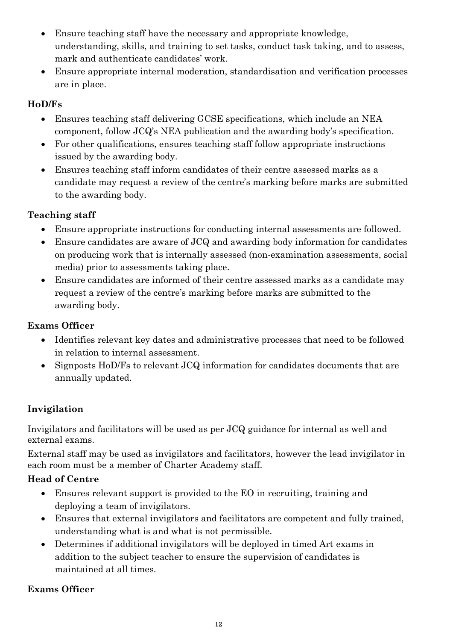- Ensure teaching staff have the necessary and appropriate knowledge, understanding, skills, and training to set tasks, conduct task taking, and to assess, mark and authenticate candidates' work.
- Ensure appropriate internal moderation, standardisation and verification processes are in place.

## **HoD/Fs**

- Ensures teaching staff delivering GCSE specifications, which include an NEA component, follow JCQ's NEA publication and the awarding body's specification.
- For other qualifications, ensures teaching staff follow appropriate instructions issued by the awarding body.
- Ensures teaching staff inform candidates of their centre assessed marks as a candidate may request a review of the centre's marking before marks are submitted to the awarding body.

## **Teaching staff**

- Ensure appropriate instructions for conducting internal assessments are followed.
- Ensure candidates are aware of JCQ and awarding body information for candidates on producing work that is internally assessed (non-examination assessments, social media) prior to assessments taking place.
- Ensure candidates are informed of their centre assessed marks as a candidate may request a review of the centre's marking before marks are submitted to the awarding body.

# **Exams Officer**

- Identifies relevant key dates and administrative processes that need to be followed in relation to internal assessment.
- Signposts HoD/Fs to relevant JCQ information for candidates documents that are annually updated.

# <span id="page-11-0"></span>**Invigilation**

Invigilators and facilitators will be used as per JCQ guidance for internal as well and external exams.

External staff may be used as invigilators and facilitators, however the lead invigilator in each room must be a member of Charter Academy staff.

## **Head of Centre**

- Ensures relevant support is provided to the EO in recruiting, training and deploying a team of invigilators.
- Ensures that external invigilators and facilitators are competent and fully trained, understanding what is and what is not permissible.
- Determines if additional invigilators will be deployed in timed Art exams in addition to the subject teacher to ensure the supervision of candidates is maintained at all times.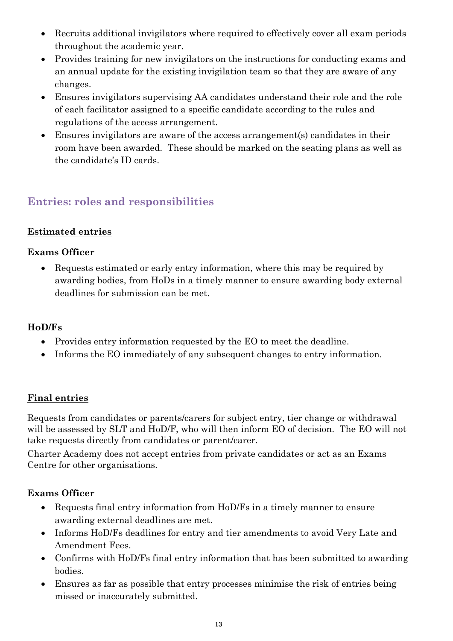- Recruits additional invigilators where required to effectively cover all exam periods throughout the academic year.
- Provides training for new invigilators on the instructions for conducting exams and an annual update for the existing invigilation team so that they are aware of any changes.
- Ensures invigilators supervising AA candidates understand their role and the role of each facilitator assigned to a specific candidate according to the rules and regulations of the access arrangement.
- Ensures invigilators are aware of the access arrangement(s) candidates in their room have been awarded. These should be marked on the seating plans as well as the candidate's ID cards.

# <span id="page-12-0"></span>**Entries: roles and responsibilities**

## <span id="page-12-1"></span>**Estimated entries**

## **Exams Officer**

• Requests estimated or early entry information, where this may be required by awarding bodies, from HoDs in a timely manner to ensure awarding body external deadlines for submission can be met.

## **HoD/Fs**

- Provides entry information requested by the EO to meet the deadline.
- Informs the EO immediately of any subsequent changes to entry information.

## <span id="page-12-2"></span>**Final entries**

Requests from candidates or parents/carers for subject entry, tier change or withdrawal will be assessed by SLT and HoD/F, who will then inform EO of decision. The EO will not take requests directly from candidates or parent/carer.

Charter Academy does not accept entries from private candidates or act as an Exams Centre for other organisations.

- Requests final entry information from HoD/Fs in a timely manner to ensure awarding external deadlines are met.
- Informs HoD/Fs deadlines for entry and tier amendments to avoid Very Late and Amendment Fees.
- Confirms with HoD/Fs final entry information that has been submitted to awarding bodies.
- Ensures as far as possible that entry processes minimise the risk of entries being missed or inaccurately submitted.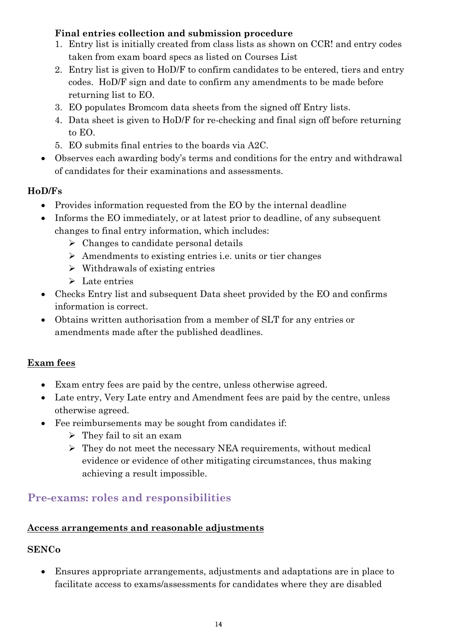## **Final entries collection and submission procedure**

- 1. Entry list is initially created from class lists as shown on CCR! and entry codes taken from exam board specs as listed on Courses List
- 2. Entry list is given to HoD/F to confirm candidates to be entered, tiers and entry codes. HoD/F sign and date to confirm any amendments to be made before returning list to EO.
- 3. EO populates Bromcom data sheets from the signed off Entry lists.
- 4. Data sheet is given to HoD/F for re-checking and final sign off before returning to EO.
- 5. EO submits final entries to the boards via A2C.
- Observes each awarding body's terms and conditions for the entry and withdrawal of candidates for their examinations and assessments.

## **HoD/Fs**

- Provides information requested from the EO by the internal deadline
- Informs the EO immediately, or at latest prior to deadline, of any subsequent changes to final entry information, which includes:
	- $\triangleright$  Changes to candidate personal details
	- ➢ Amendments to existing entries i.e. units or tier changes
	- $\triangleright$  Withdrawals of existing entries
	- ➢ Late entries
- Checks Entry list and subsequent Data sheet provided by the EO and confirms information is correct.
- Obtains written authorisation from a member of SLT for any entries or amendments made after the published deadlines.

## <span id="page-13-0"></span>**Exam fees**

- Exam entry fees are paid by the centre, unless otherwise agreed.
- Late entry, Very Late entry and Amendment fees are paid by the centre, unless otherwise agreed.
- Fee reimbursements may be sought from candidates if:
	- ➢ They fail to sit an exam
	- ➢ They do not meet the necessary NEA requirements, without medical evidence or evidence of other mitigating circumstances, thus making achieving a result impossible.

# <span id="page-13-1"></span>**Pre-exams: roles and responsibilities**

## <span id="page-13-2"></span>**Access arrangements and reasonable adjustments**

## **SENCo**

• Ensures appropriate arrangements, adjustments and adaptations are in place to facilitate access to exams/assessments for candidates where they are disabled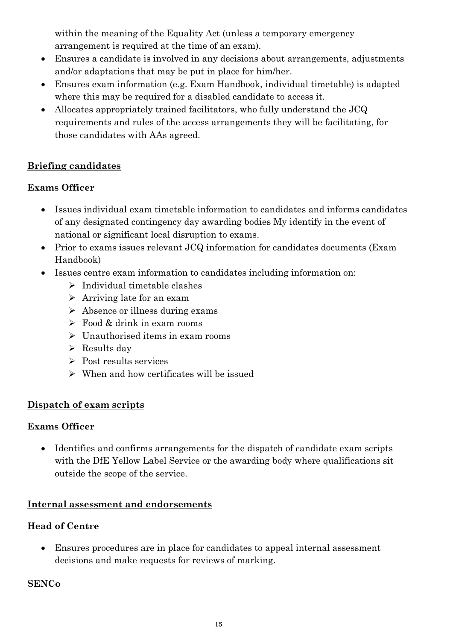within the meaning of the Equality Act (unless a temporary emergency arrangement is required at the time of an exam).

- Ensures a candidate is involved in any decisions about arrangements, adjustments and/or adaptations that may be put in place for him/her.
- Ensures exam information (e.g. Exam Handbook, individual timetable) is adapted where this may be required for a disabled candidate to access it.
- Allocates appropriately trained facilitators, who fully understand the JCQ requirements and rules of the access arrangements they will be facilitating, for those candidates with AAs agreed.

## <span id="page-14-0"></span>**Briefing candidates**

## **Exams Officer**

- Issues individual exam timetable information to candidates and informs candidates of any designated contingency day awarding bodies My identify in the event of national or significant local disruption to exams.
- Prior to exams issues relevant JCQ information for candidates documents (Exam Handbook)
- Issues centre exam information to candidates including information on:
	- ➢ Individual timetable clashes
	- ➢ Arriving late for an exam
	- ➢ Absence or illness during exams
	- $\triangleright$  Food & drink in exam rooms
	- ➢ Unauthorised items in exam rooms
	- $\triangleright$  Results day
	- ➢ Post results services
	- $\triangleright$  When and how certificates will be issued

## <span id="page-14-1"></span>**Dispatch of exam scripts**

## **Exams Officer**

• Identifies and confirms arrangements for the dispatch of candidate exam scripts with the DfE Yellow Label Service or the awarding body where qualifications sit outside the scope of the service.

## <span id="page-14-2"></span>**Internal assessment and endorsements**

## **Head of Centre**

• Ensures procedures are in place for candidates to appeal internal assessment decisions and make requests for reviews of marking.

## **SENCo**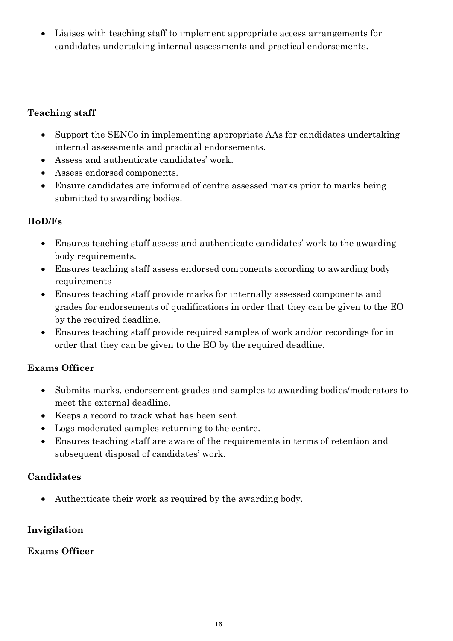• Liaises with teaching staff to implement appropriate access arrangements for candidates undertaking internal assessments and practical endorsements.

## **Teaching staff**

- Support the SENCo in implementing appropriate AAs for candidates undertaking internal assessments and practical endorsements.
- Assess and authenticate candidates' work.
- Assess endorsed components.
- Ensure candidates are informed of centre assessed marks prior to marks being submitted to awarding bodies.

## **HoD/Fs**

- Ensures teaching staff assess and authenticate candidates' work to the awarding body requirements.
- Ensures teaching staff assess endorsed components according to awarding body requirements
- Ensures teaching staff provide marks for internally assessed components and grades for endorsements of qualifications in order that they can be given to the EO by the required deadline.
- Ensures teaching staff provide required samples of work and/or recordings for in order that they can be given to the EO by the required deadline.

## **Exams Officer**

- Submits marks, endorsement grades and samples to awarding bodies/moderators to meet the external deadline.
- Keeps a record to track what has been sent
- Logs moderated samples returning to the centre.
- Ensures teaching staff are aware of the requirements in terms of retention and subsequent disposal of candidates' work.

## **Candidates**

• Authenticate their work as required by the awarding body.

## <span id="page-15-0"></span>**Invigilation**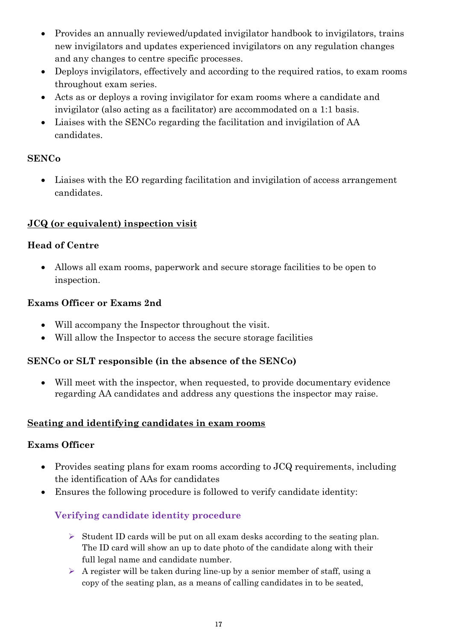- Provides an annually reviewed/updated invigilator handbook to invigilators, trains new invigilators and updates experienced invigilators on any regulation changes and any changes to centre specific processes.
- Deploys invigilators, effectively and according to the required ratios, to exam rooms throughout exam series.
- Acts as or deploys a roving invigilator for exam rooms where a candidate and invigilator (also acting as a facilitator) are accommodated on a 1:1 basis.
- Liaises with the SENCo regarding the facilitation and invigilation of AA candidates.

## **SENCo**

• Liaises with the EO regarding facilitation and invigilation of access arrangement candidates.

## <span id="page-16-0"></span>**JCQ (or equivalent) inspection visit**

## **Head of Centre**

• Allows all exam rooms, paperwork and secure storage facilities to be open to inspection.

## **Exams Officer or Exams 2nd**

- Will accompany the Inspector throughout the visit.
- Will allow the Inspector to access the secure storage facilities

## **SENCo or SLT responsible (in the absence of the SENCo)**

• Will meet with the inspector, when requested, to provide documentary evidence regarding AA candidates and address any questions the inspector may raise.

## <span id="page-16-1"></span>**Seating and identifying candidates in exam rooms**

## **Exams Officer**

- Provides seating plans for exam rooms according to JCQ requirements, including the identification of AAs for candidates
- <span id="page-16-2"></span>• Ensures the following procedure is followed to verify candidate identity:

## **Verifying candidate identity procedure**

- $\triangleright$  Student ID cards will be put on all exam desks according to the seating plan. The ID card will show an up to date photo of the candidate along with their full legal name and candidate number.
- $\triangleright$  A register will be taken during line-up by a senior member of staff, using a copy of the seating plan, as a means of calling candidates in to be seated,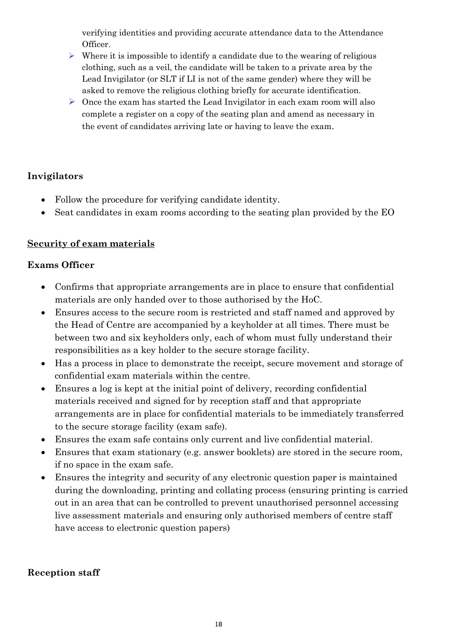verifying identities and providing accurate attendance data to the Attendance Officer.

- $\triangleright$  Where it is impossible to identify a candidate due to the wearing of religious clothing, such as a veil, the candidate will be taken to a private area by the Lead Invigilator (or SLT if LI is not of the same gender) where they will be asked to remove the religious clothing briefly for accurate identification.
- $\triangleright$  Once the exam has started the Lead Invigilator in each exam room will also complete a register on a copy of the seating plan and amend as necessary in the event of candidates arriving late or having to leave the exam.

## **Invigilators**

- Follow the procedure for verifying candidate identity.
- Seat candidates in exam rooms according to the seating plan provided by the EO

## <span id="page-17-0"></span>**Security of exam materials**

#### **Exams Officer**

- Confirms that appropriate arrangements are in place to ensure that confidential materials are only handed over to those authorised by the HoC.
- Ensures access to the secure room is restricted and staff named and approved by the Head of Centre are accompanied by a keyholder at all times. There must be between two and six keyholders only, each of whom must fully understand their responsibilities as a key holder to the secure storage facility.
- Has a process in place to demonstrate the receipt, secure movement and storage of confidential exam materials within the centre.
- Ensures a log is kept at the initial point of delivery, recording confidential materials received and signed for by reception staff and that appropriate arrangements are in place for confidential materials to be immediately transferred to the secure storage facility (exam safe).
- Ensures the exam safe contains only current and live confidential material.
- Ensures that exam stationary (e.g. answer booklets) are stored in the secure room, if no space in the exam safe.
- Ensures the integrity and security of any electronic question paper is maintained during the downloading, printing and collating process (ensuring printing is carried out in an area that can be controlled to prevent unauthorised personnel accessing live assessment materials and ensuring only authorised members of centre staff have access to electronic question papers)

#### **Reception staff**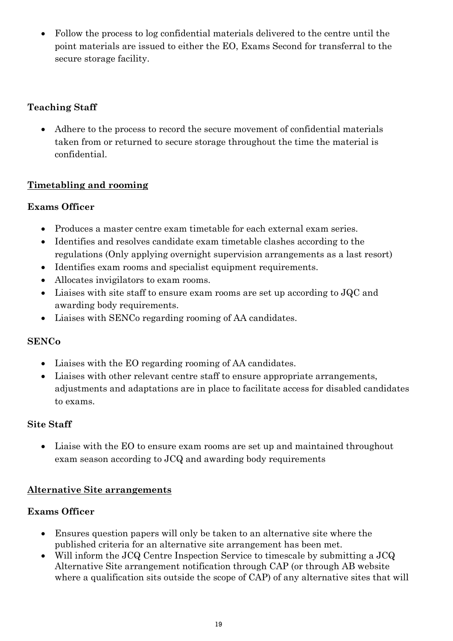• Follow the process to log confidential materials delivered to the centre until the point materials are issued to either the EO, Exams Second for transferral to the secure storage facility.

## **Teaching Staff**

• Adhere to the process to record the secure movement of confidential materials taken from or returned to secure storage throughout the time the material is confidential.

## <span id="page-18-0"></span>**Timetabling and rooming**

## **Exams Officer**

- Produces a master centre exam timetable for each external exam series.
- Identifies and resolves candidate exam timetable clashes according to the regulations (Only applying overnight supervision arrangements as a last resort)
- Identifies exam rooms and specialist equipment requirements.
- Allocates invigilators to exam rooms.
- Liaises with site staff to ensure exam rooms are set up according to JQC and awarding body requirements.
- Liaises with SENCo regarding rooming of AA candidates.

## **SENCo**

- Liaises with the EO regarding rooming of AA candidates.
- Liaises with other relevant centre staff to ensure appropriate arrangements, adjustments and adaptations are in place to facilitate access for disabled candidates to exams.

## **Site Staff**

• Liaise with the EO to ensure exam rooms are set up and maintained throughout exam season according to JCQ and awarding body requirements

## <span id="page-18-1"></span>**Alternative Site arrangements**

- Ensures question papers will only be taken to an alternative site where the published criteria for an alternative site arrangement has been met.
- Will inform the JCQ Centre Inspection Service to timescale by submitting a JCQ Alternative Site arrangement notification through CAP (or through AB website where a qualification sits outside the scope of CAP) of any alternative sites that will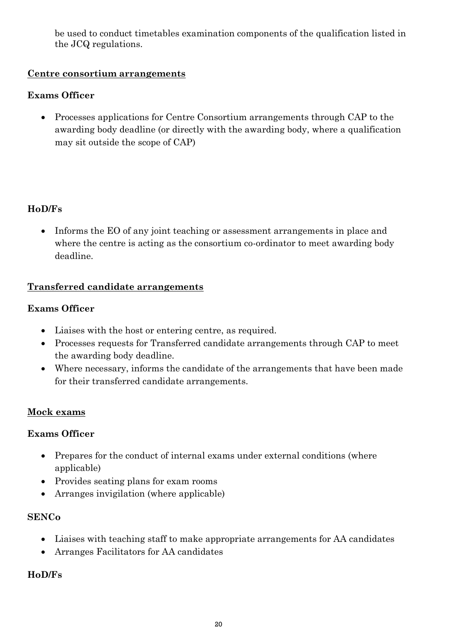be used to conduct timetables examination components of the qualification listed in the JCQ regulations.

## <span id="page-19-0"></span>**Centre consortium arrangements**

## **Exams Officer**

• Processes applications for Centre Consortium arrangements through CAP to the awarding body deadline (or directly with the awarding body, where a qualification may sit outside the scope of CAP)

## **HoD/Fs**

• Informs the EO of any joint teaching or assessment arrangements in place and where the centre is acting as the consortium co-ordinator to meet awarding body deadline.

## <span id="page-19-1"></span>**Transferred candidate arrangements**

#### **Exams Officer**

- Liaises with the host or entering centre, as required.
- Processes requests for Transferred candidate arrangements through CAP to meet the awarding body deadline.
- Where necessary, informs the candidate of the arrangements that have been made for their transferred candidate arrangements.

## <span id="page-19-2"></span>**Mock exams**

## **Exams Officer**

- Prepares for the conduct of internal exams under external conditions (where applicable)
- Provides seating plans for exam rooms
- Arranges invigilation (where applicable)

#### **SENCo**

- Liaises with teaching staff to make appropriate arrangements for AA candidates
- Arranges Facilitators for AA candidates

#### **HoD/Fs**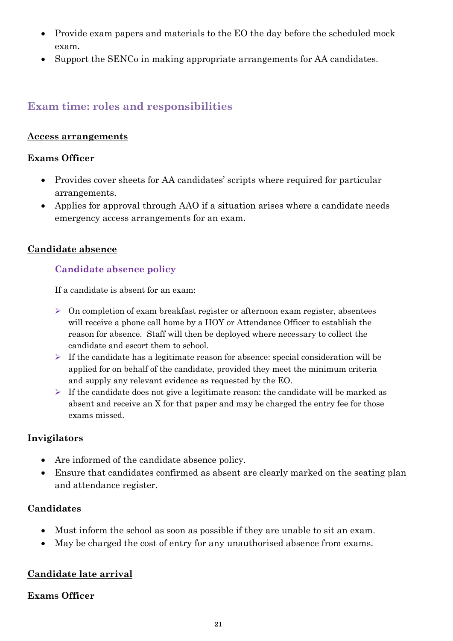- Provide exam papers and materials to the EO the day before the scheduled mock exam.
- Support the SENCo in making appropriate arrangements for AA candidates.

## <span id="page-20-0"></span>**Exam time: roles and responsibilities**

#### <span id="page-20-1"></span>**Access arrangements**

#### **Exams Officer**

- Provides cover sheets for AA candidates' scripts where required for particular arrangements.
- Applies for approval through AAO if a situation arises where a candidate needs emergency access arrangements for an exam.

#### <span id="page-20-3"></span><span id="page-20-2"></span>**Candidate absence**

## **Candidate absence policy**

If a candidate is absent for an exam:

- $\triangleright$  On completion of exam breakfast register or afternoon exam register, absentees will receive a phone call home by a HOY or Attendance Officer to establish the reason for absence. Staff will then be deployed where necessary to collect the candidate and escort them to school.
- $\triangleright$  If the candidate has a legitimate reason for absence: special consideration will be applied for on behalf of the candidate, provided they meet the minimum criteria and supply any relevant evidence as requested by the EO.
- $\triangleright$  If the candidate does not give a legitimate reason: the candidate will be marked as absent and receive an X for that paper and may be charged the entry fee for those exams missed.

## **Invigilators**

- Are informed of the candidate absence policy.
- Ensure that candidates confirmed as absent are clearly marked on the seating plan and attendance register.

## **Candidates**

- Must inform the school as soon as possible if they are unable to sit an exam.
- May be charged the cost of entry for any unauthorised absence from exams.

## <span id="page-20-4"></span>**Candidate late arrival**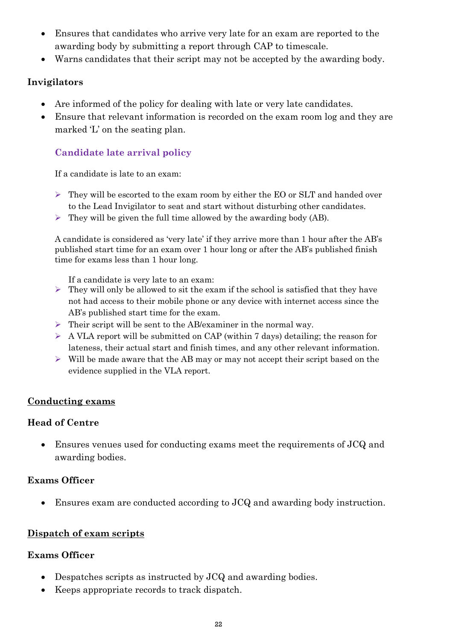- Ensures that candidates who arrive very late for an exam are reported to the awarding body by submitting a report through CAP to timescale.
- Warns candidates that their script may not be accepted by the awarding body.

#### **Invigilators**

- Are informed of the policy for dealing with late or very late candidates.
- Ensure that relevant information is recorded on the exam room log and they are marked 'L' on the seating plan.

## <span id="page-21-0"></span>**Candidate late arrival policy**

If a candidate is late to an exam:

- $\triangleright$  They will be escorted to the exam room by either the EO or SLT and handed over to the Lead Invigilator to seat and start without disturbing other candidates.
- $\triangleright$  They will be given the full time allowed by the awarding body (AB).

A candidate is considered as 'very late' if they arrive more than 1 hour after the AB's published start time for an exam over 1 hour long or after the AB's published finish time for exams less than 1 hour long.

If a candidate is very late to an exam:

- $\triangleright$  They will only be allowed to sit the exam if the school is satisfied that they have not had access to their mobile phone or any device with internet access since the AB's published start time for the exam.
- ➢ Their script will be sent to the AB/examiner in the normal way.
- $\triangleright$  A VLA report will be submitted on CAP (within 7 days) detailing; the reason for lateness, their actual start and finish times, and any other relevant information.
- $\triangleright$  Will be made aware that the AB may or may not accept their script based on the evidence supplied in the VLA report.

#### <span id="page-21-1"></span>**Conducting exams**

#### **Head of Centre**

• Ensures venues used for conducting exams meet the requirements of JCQ and awarding bodies.

## **Exams Officer**

• Ensures exam are conducted according to JCQ and awarding body instruction.

## <span id="page-21-2"></span>**Dispatch of exam scripts**

- Despatches scripts as instructed by JCQ and awarding bodies.
- Keeps appropriate records to track dispatch.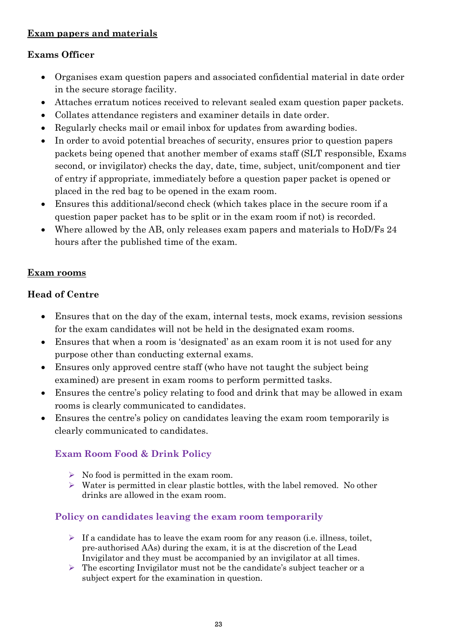## <span id="page-22-0"></span>**Exam papers and materials**

## **Exams Officer**

- Organises exam question papers and associated confidential material in date order in the secure storage facility.
- Attaches erratum notices received to relevant sealed exam question paper packets.
- Collates attendance registers and examiner details in date order.
- Regularly checks mail or email inbox for updates from awarding bodies.
- In order to avoid potential breaches of security, ensures prior to question papers packets being opened that another member of exams staff (SLT responsible, Exams second, or invigilator) checks the day, date, time, subject, unit/component and tier of entry if appropriate, immediately before a question paper packet is opened or placed in the red bag to be opened in the exam room.
- Ensures this additional/second check (which takes place in the secure room if a question paper packet has to be split or in the exam room if not) is recorded.
- Where allowed by the AB, only releases exam papers and materials to HoD/Fs 24 hours after the published time of the exam.

## <span id="page-22-1"></span>**Exam rooms**

#### **Head of Centre**

- Ensures that on the day of the exam, internal tests, mock exams, revision sessions for the exam candidates will not be held in the designated exam rooms.
- Ensures that when a room is 'designated' as an exam room it is not used for any purpose other than conducting external exams.
- Ensures only approved centre staff (who have not taught the subject being examined) are present in exam rooms to perform permitted tasks.
- Ensures the centre's policy relating to food and drink that may be allowed in exam rooms is clearly communicated to candidates.
- Ensures the centre's policy on candidates leaving the exam room temporarily is clearly communicated to candidates.

## <span id="page-22-2"></span>**Exam Room Food & Drink Policy**

- $\triangleright$  No food is permitted in the exam room.
- $\triangleright$  Water is permitted in clear plastic bottles, with the label removed. No other drinks are allowed in the exam room.

## <span id="page-22-3"></span>**Policy on candidates leaving the exam room temporarily**

- $\triangleright$  If a candidate has to leave the exam room for any reason (i.e. illness, toilet, pre-authorised AAs) during the exam, it is at the discretion of the Lead Invigilator and they must be accompanied by an invigilator at all times.
- $\triangleright$  The escorting Invigilator must not be the candidate's subject teacher or a subject expert for the examination in question.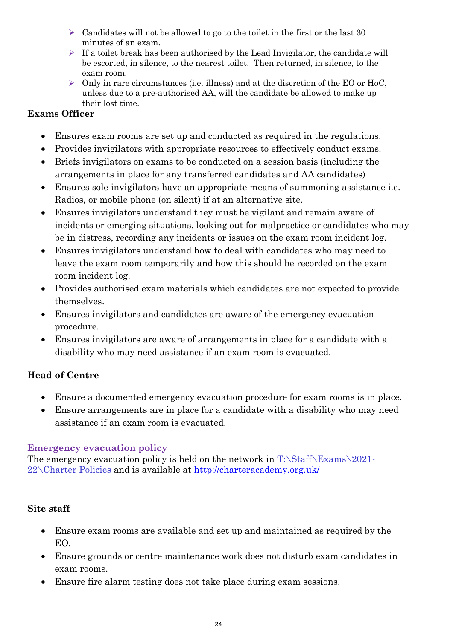- $\triangleright$  Candidates will not be allowed to go to the toilet in the first or the last 30 minutes of an exam.
- $\triangleright$  If a toilet break has been authorised by the Lead Invigilator, the candidate will be escorted, in silence, to the nearest toilet. Then returned, in silence, to the exam room.
- $\triangleright$  Only in rare circumstances (i.e. illness) and at the discretion of the EO or HoC, unless due to a pre-authorised AA, will the candidate be allowed to make up their lost time.

#### **Exams Officer**

- Ensures exam rooms are set up and conducted as required in the regulations.
- Provides invigilators with appropriate resources to effectively conduct exams.
- Briefs invigilators on exams to be conducted on a session basis (including the arrangements in place for any transferred candidates and AA candidates)
- Ensures sole invigilators have an appropriate means of summoning assistance i.e. Radios, or mobile phone (on silent) if at an alternative site.
- Ensures invigilators understand they must be vigilant and remain aware of incidents or emerging situations, looking out for malpractice or candidates who may be in distress, recording any incidents or issues on the exam room incident log.
- Ensures invigilators understand how to deal with candidates who may need to leave the exam room temporarily and how this should be recorded on the exam room incident log.
- Provides authorised exam materials which candidates are not expected to provide themselves.
- Ensures invigilators and candidates are aware of the emergency evacuation procedure.
- Ensures invigilators are aware of arrangements in place for a candidate with a disability who may need assistance if an exam room is evacuated.

## **Head of Centre**

- Ensure a documented emergency evacuation procedure for exam rooms is in place.
- Ensure arrangements are in place for a candidate with a disability who may need assistance if an exam room is evacuated.

#### **Emergency evacuation policy**

The emergency evacuation policy is held on the network in  $T:\S$ taff $\Examples$ 2021- $22\backslash$ Charter Policies and is available at  $\frac{http://characteracademy.org.uk/}{http://characteracademy.org.uk/}$ 

## **Site staff**

- Ensure exam rooms are available and set up and maintained as required by the EO.
- Ensure grounds or centre maintenance work does not disturb exam candidates in exam rooms.
- Ensure fire alarm testing does not take place during exam sessions.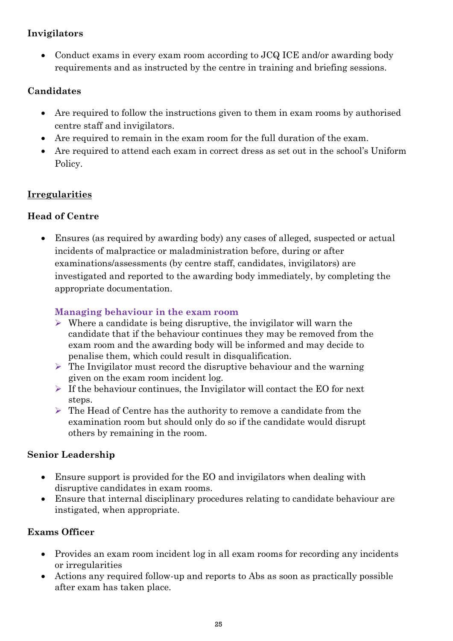## **Invigilators**

• Conduct exams in every exam room according to JCQ ICE and/or awarding body requirements and as instructed by the centre in training and briefing sessions.

## **Candidates**

- Are required to follow the instructions given to them in exam rooms by authorised centre staff and invigilators.
- Are required to remain in the exam room for the full duration of the exam.
- Are required to attend each exam in correct dress as set out in the school's Uniform Policy.

## <span id="page-24-0"></span>**Irregularities**

## **Head of Centre**

• Ensures (as required by awarding body) any cases of alleged, suspected or actual incidents of malpractice or maladministration before, during or after examinations/assessments (by centre staff, candidates, invigilators) are investigated and reported to the awarding body immediately, by completing the appropriate documentation.

## <span id="page-24-1"></span>**Managing behaviour in the exam room**

- $\triangleright$  Where a candidate is being disruptive, the invigilator will warn the candidate that if the behaviour continues they may be removed from the exam room and the awarding body will be informed and may decide to penalise them, which could result in disqualification.
- $\triangleright$  The Invigilator must record the disruptive behaviour and the warning given on the exam room incident log.
- $\triangleright$  If the behaviour continues, the Invigilator will contact the EO for next steps.
- ➢ The Head of Centre has the authority to remove a candidate from the examination room but should only do so if the candidate would disrupt others by remaining in the room.

## **Senior Leadership**

- Ensure support is provided for the EO and invigilators when dealing with disruptive candidates in exam rooms.
- Ensure that internal disciplinary procedures relating to candidate behaviour are instigated, when appropriate.

- Provides an exam room incident log in all exam rooms for recording any incidents or irregularities
- Actions any required follow-up and reports to Abs as soon as practically possible after exam has taken place.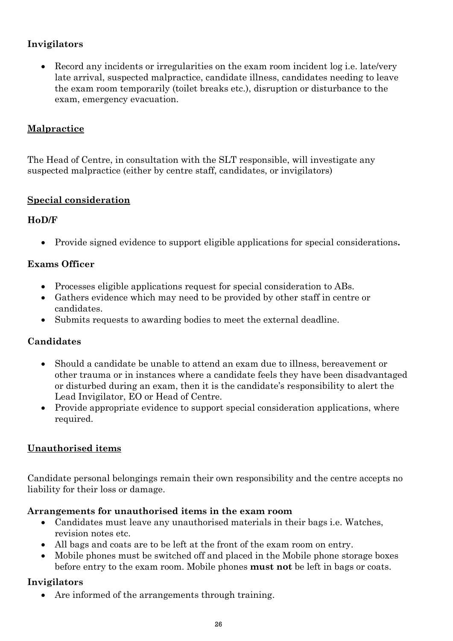## **Invigilators**

• Record any incidents or irregularities on the exam room incident log i.e. late/very late arrival, suspected malpractice, candidate illness, candidates needing to leave the exam room temporarily (toilet breaks etc.), disruption or disturbance to the exam, emergency evacuation.

## <span id="page-25-0"></span>**Malpractice**

The Head of Centre, in consultation with the SLT responsible, will investigate any suspected malpractice (either by centre staff, candidates, or invigilators)

## <span id="page-25-1"></span>**Special consideration**

## **HoD/F**

• Provide signed evidence to support eligible applications for special considerations**.**

## **Exams Officer**

- Processes eligible applications request for special consideration to ABs.
- Gathers evidence which may need to be provided by other staff in centre or candidates.
- Submits requests to awarding bodies to meet the external deadline.

## **Candidates**

- Should a candidate be unable to attend an exam due to illness, bereavement or other trauma or in instances where a candidate feels they have been disadvantaged or disturbed during an exam, then it is the candidate's responsibility to alert the Lead Invigilator, EO or Head of Centre.
- Provide appropriate evidence to support special consideration applications, where required.

## <span id="page-25-2"></span>**Unauthorised items**

Candidate personal belongings remain their own responsibility and the centre accepts no liability for their loss or damage.

## **Arrangements for unauthorised items in the exam room**

- Candidates must leave any unauthorised materials in their bags i.e. Watches, revision notes etc.
- All bags and coats are to be left at the front of the exam room on entry.
- Mobile phones must be switched off and placed in the Mobile phone storage boxes before entry to the exam room. Mobile phones **must not** be left in bags or coats.

## **Invigilators**

• Are informed of the arrangements through training.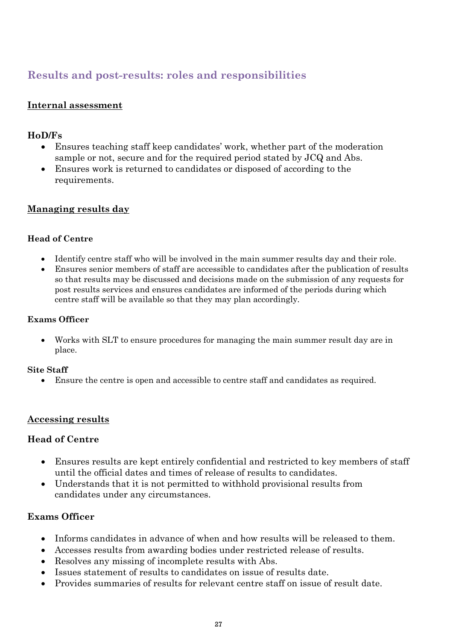# <span id="page-26-0"></span>**Results and post-results: roles and responsibilities**

#### <span id="page-26-1"></span>**Internal assessment**

#### **HoD/Fs**

- Ensures teaching staff keep candidates' work, whether part of the moderation sample or not, secure and for the required period stated by JCQ and Abs.
- Ensures work is returned to candidates or disposed of according to the requirements.

#### <span id="page-26-2"></span>**Managing results day**

#### **Head of Centre**

- Identify centre staff who will be involved in the main summer results day and their role.
- Ensures senior members of staff are accessible to candidates after the publication of results so that results may be discussed and decisions made on the submission of any requests for post results services and ensures candidates are informed of the periods during which centre staff will be available so that they may plan accordingly.

#### **Exams Officer**

• Works with SLT to ensure procedures for managing the main summer result day are in place.

#### **Site Staff**

• Ensure the centre is open and accessible to centre staff and candidates as required.

#### <span id="page-26-3"></span>**Accessing results**

#### **Head of Centre**

- Ensures results are kept entirely confidential and restricted to key members of staff until the official dates and times of release of results to candidates.
- Understands that it is not permitted to withhold provisional results from candidates under any circumstances.

- Informs candidates in advance of when and how results will be released to them.
- Accesses results from awarding bodies under restricted release of results.
- Resolves any missing of incomplete results with Abs.
- Issues statement of results to candidates on issue of results date.
- Provides summaries of results for relevant centre staff on issue of result date.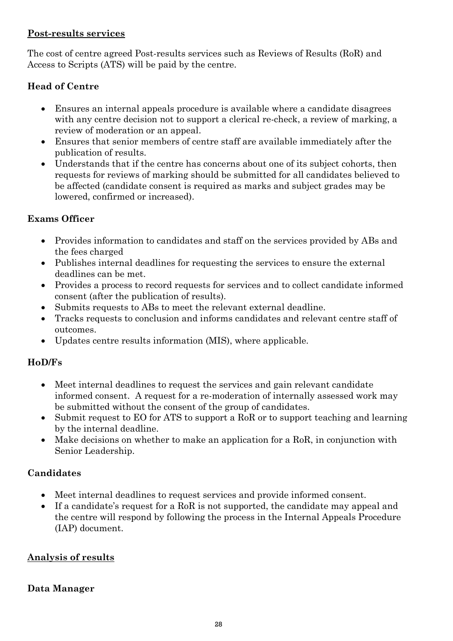#### <span id="page-27-0"></span>**Post-results services**

The cost of centre agreed Post-results services such as Reviews of Results (RoR) and Access to Scripts (ATS) will be paid by the centre.

## **Head of Centre**

- Ensures an internal appeals procedure is available where a candidate disagrees with any centre decision not to support a clerical re-check, a review of marking, a review of moderation or an appeal.
- Ensures that senior members of centre staff are available immediately after the publication of results.
- Understands that if the centre has concerns about one of its subject cohorts, then requests for reviews of marking should be submitted for all candidates believed to be affected (candidate consent is required as marks and subject grades may be lowered, confirmed or increased).

## **Exams Officer**

- Provides information to candidates and staff on the services provided by ABs and the fees charged
- Publishes internal deadlines for requesting the services to ensure the external deadlines can be met.
- Provides a process to record requests for services and to collect candidate informed consent (after the publication of results).
- Submits requests to ABs to meet the relevant external deadline.
- Tracks requests to conclusion and informs candidates and relevant centre staff of outcomes.
- Updates centre results information (MIS), where applicable.

## **HoD/Fs**

- Meet internal deadlines to request the services and gain relevant candidate informed consent.A request for a re-moderation of internally assessed work may be submitted without the consent of the group of candidates.
- Submit request to EO for ATS to support a RoR or to support teaching and learning by the internal deadline.
- Make decisions on whether to make an application for a RoR, in conjunction with Senior Leadership.

## **Candidates**

- Meet internal deadlines to request services and provide informed consent.
- If a candidate's request for a RoR is not supported, the candidate may appeal and the centre will respond by following the process in the Internal Appeals Procedure (IAP) document.

## <span id="page-27-1"></span>**Analysis of results**

## **Data Manager**